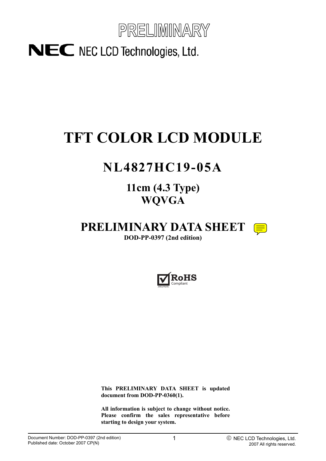

# **TFT COLOR LCD MODULE**

# **NL4827HC19-05A**

**11cm (4.3 Type) WQVGA**

**PRELIMINARY DATA SHEET** 

**DOD-PP-0397 (2nd edition)** 



**This PRELIMINARY DATA SHEET is updated document from DOD-PP-0360(1).** 

**All information is subject to change without notice. Please confirm the sales representative before starting to design your system.**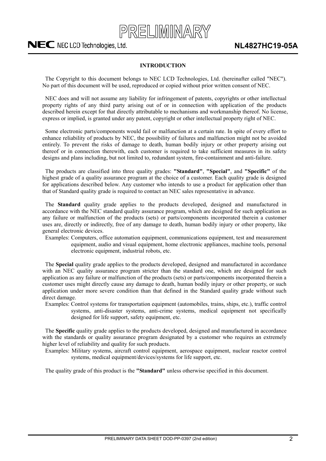

#### **INTRODUCTION**

<span id="page-1-0"></span>The Copyright to this document belongs to NEC LCD Technologies, Ltd. (hereinafter called "NEC"). No part of this document will be used, reproduced or copied without prior written consent of NEC.

NEC does and will not assume any liability for infringement of patents, copyrights or other intellectual property rights of any third party arising out of or in connection with application of the products described herein except for that directly attributable to mechanisms and workmanship thereof. No license, express or implied, is granted under any patent, copyright or other intellectual property right of NEC.

Some electronic parts/components would fail or malfunction at a certain rate. In spite of every effort to enhance reliability of products by NEC, the possibility of failures and malfunction might not be avoided entirely. To prevent the risks of damage to death, human bodily injury or other property arising out thereof or in connection therewith, each customer is required to take sufficient measures in its safety designs and plans including, but not limited to, redundant system, fire-containment and anti-failure.

The products are classified into three quality grades: **"Standard"**, **"Special"**, and **"Specific"** of the highest grade of a quality assurance program at the choice of a customer. Each quality grade is designed for applications described below. Any customer who intends to use a product for application other than that of Standard quality grade is required to contact an NEC sales representative in advance.

The **Standard** quality grade applies to the products developed, designed and manufactured in accordance with the NEC standard quality assurance program, which are designed for such application as any failure or malfunction of the products (sets) or parts/components incorporated therein a customer uses are, directly or indirectly, free of any damage to death, human bodily injury or other property, like general electronic devices.

Examples: Computers, office automation equipment, communications equipment, test and measurement equipment, audio and visual equipment, home electronic appliances, machine tools, personal electronic equipment, industrial robots, etc.

The **Special** quality grade applies to the products developed, designed and manufactured in accordance with an NEC quality assurance program stricter than the standard one, which are designed for such application as any failure or malfunction of the products (sets) or parts/components incorporated therein a customer uses might directly cause any damage to death, human bodily injury or other property, or such application under more severe condition than that defined in the Standard quality grade without such direct damage.

Examples: Control systems for transportation equipment (automobiles, trains, ships, etc.), traffic control systems, anti-disaster systems, anti-crime systems, medical equipment not specifically designed for life support, safety equipment, etc.

The **Specific** quality grade applies to the products developed, designed and manufactured in accordance with the standards or quality assurance program designated by a customer who requires an extremely higher level of reliability and quality for such products.

Examples: Military systems, aircraft control equipment, aerospace equipment, nuclear reactor control systems, medical equipment/devices/systems for life support, etc.

The quality grade of this product is the **"Standard"** unless otherwise specified in this document.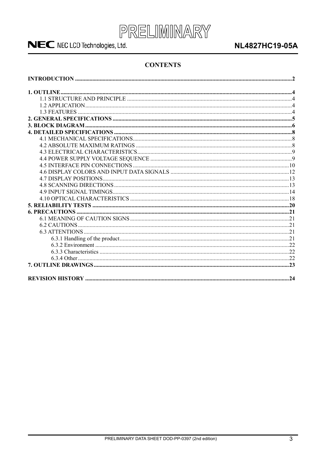

### **NL4827HC19-05A**

#### **CONTENTS**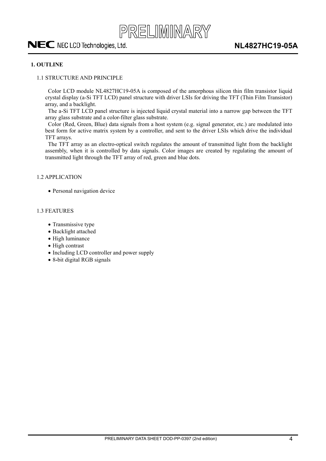

#### <span id="page-3-0"></span>**1. OUTLINE**

#### 1.1 STRUCTURE AND PRINCIPLE

Color LCD module NL4827HC19-05A is composed of the amorphous silicon thin film transistor liquid crystal display (a-Si TFT LCD) panel structure with driver LSIs for driving the TFT (Thin Film Transistor) array, and a backlight.

The a-Si TFT LCD panel structure is injected liquid crystal material into a narrow gap between the TFT array glass substrate and a color-filter glass substrate.

Color (Red, Green, Blue) data signals from a host system (e.g. signal generator, etc.) are modulated into best form for active matrix system by a controller, and sent to the driver LSIs which drive the individual TFT arrays.

The TFT array as an electro-optical switch regulates the amount of transmitted light from the backlight assembly, when it is controlled by data signals. Color images are created by regulating the amount of transmitted light through the TFT array of red, green and blue dots.

#### 1.2 APPLICATION

• Personal navigation device

#### 1.3 FEATURES

- Transmissive type
- Backlight attached
- $\bullet$  High luminance
- $\bullet$  High contrast
- Including LCD controller and power supply
- x 8**-**bit digital RGB signals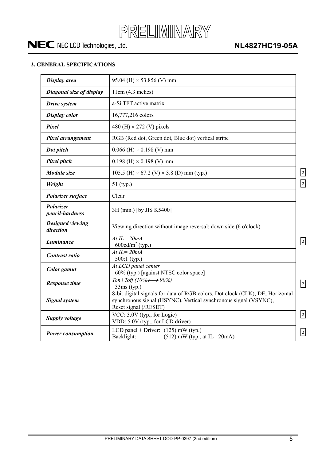

### <span id="page-4-0"></span>**2. GENERAL SPECIFICATIONS**

| Display area                         | 95.04 (H) $\times$ 53.856 (V) mm                                                                                                                                           |                         |
|--------------------------------------|----------------------------------------------------------------------------------------------------------------------------------------------------------------------------|-------------------------|
| Diagonal size of display             | 11cm(4.3 inches)                                                                                                                                                           |                         |
| Drive system                         | a-Si TFT active matrix                                                                                                                                                     |                         |
| <b>Display color</b>                 | 16,777,216 colors                                                                                                                                                          |                         |
| Pixel                                | 480 (H) $\times$ 272 (V) pixels                                                                                                                                            |                         |
| Pixel arrangement                    | RGB (Red dot, Green dot, Blue dot) vertical stripe                                                                                                                         |                         |
| Dot pitch                            | $0.066$ (H) $\times$ 0.198 (V) mm                                                                                                                                          |                         |
| Pixel pitch                          | $0.198$ (H) $\times$ 0.198 (V) mm                                                                                                                                          |                         |
| Module size                          | 105.5 (H) $\times$ 67.2 (V) $\times$ 3.8 (D) mm (typ.)                                                                                                                     | $\overline{2}$          |
| Weight                               | 51 (typ.)                                                                                                                                                                  | $\overline{\mathbf{2}}$ |
| Polarizer surface                    | Clear                                                                                                                                                                      |                         |
| <b>Polarizer</b><br>pencil-hardness  | 3H (min.) [by JIS K5400]                                                                                                                                                   |                         |
| <b>Designed viewing</b><br>direction | Viewing direction without image reversal: down side (6 o'clock)                                                                                                            |                         |
| Luminance                            | At $IL = 20mA$<br>$600 \text{cd/m}^2$ (typ.)                                                                                                                               | $\overline{2}$          |
| Contrast ratio                       | $\overline{At\,IL=20mA}$<br>$500:1$ (typ.)                                                                                                                                 |                         |
| <b>Color</b> gamut                   | At LCD panel center<br>60% (typ.) [against NTSC color space]                                                                                                               |                         |
| <b>Response time</b>                 | Ton+Toff (10% $\leftarrow \rightarrow 90\%$ )<br>$33ms$ (typ.)                                                                                                             | $\overline{2}$          |
| <b>Signal system</b>                 | 8-bit digital signals for data of RGB colors, Dot clock (CLK), DE, Horizontal<br>synchronous signal (HSYNC), Vertical synchronous signal (VSYNC),<br>Reset signal (/RESET) |                         |
| <b>Supply voltage</b>                | VCC: 3.0V (typ., for Logic)<br>VDD: 5.0V (typ., for LCD driver)                                                                                                            | $\overline{2}$          |
| <b>Power consumption</b>             | LCD panel + Driver: $(125)$ mW (typ.)<br>Backlight:<br>$(512)$ mW (typ., at IL=20mA)                                                                                       | $\overline{2}$          |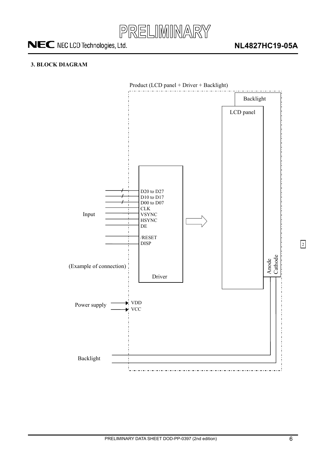

#### <span id="page-5-0"></span>**3. BLOCK DIAGRAM**

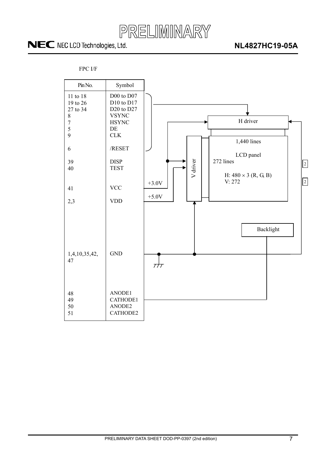

### **NL4827HC19-05A**



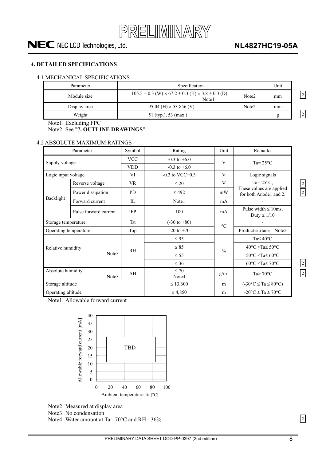

### **NL4827HC19-05A**

#### <span id="page-7-0"></span>**4. DETAILED SPECIFICATIONS**

#### 4.1 MECHANICAL SPECIFICATIONS

| Parameter    | Specification                                                                       |                   | Unit |                |
|--------------|-------------------------------------------------------------------------------------|-------------------|------|----------------|
| Module size  | $105.5 \pm 0.3$ (W) $\times$ 67.2 $\pm$ 0.3 (H) $\times$ 3.8 $\pm$ 0.3 (D)<br>Note1 | Note <sub>2</sub> | mm   | $\overline{2}$ |
| Display area | $95.04$ (H) $\times$ 53.856 (V)                                                     | Note <sub>2</sub> | mm   |                |
| Weight       | 51 (typ.), 53 (max.)                                                                |                   | ь    | $\overline{2}$ |

Note1: Excluding FPC

Note2: See "**7. OUTLINE DRAWINGS**".

#### 4.2 ABSOLUTE MAXIMUM RATINGS

|                            | Parameter                    | Symbol                                | Rating             | Unit            | Remarks                                            |  |
|----------------------------|------------------------------|---------------------------------------|--------------------|-----------------|----------------------------------------------------|--|
|                            |                              | <b>VCC</b>                            | $-0.3$ to $+6.0$   | V               | Ta= $25^{\circ}$ C                                 |  |
| Supply voltage             |                              | <b>VDD</b>                            | $-0.3$ to $+6.0$   |                 |                                                    |  |
| Logic input voltage        |                              | VI                                    | $-0.3$ to VCC+0.3  | V               | Logic signals                                      |  |
|                            | Reverse voltage              | <b>VR</b>                             | $\leq 20$          | V               | Ta= $25^{\circ}$ C,                                |  |
| Power dissipation          |                              | <b>PD</b>                             | $\leq$ 492         | mW              | These values are applied<br>for both Anode1 and 2. |  |
|                            | Backlight<br>Forward current |                                       | Note1              | mA              |                                                    |  |
|                            | Pulse forward current        | <b>IFP</b>                            | 100                | mA              | Pulse width $\leq 10$ ms,<br>Duty $\leq 1/10$      |  |
| Storage temperature        |                              | <b>Tst</b><br>$(-30 \text{ to } +80)$ |                    | $\rm ^{\circ}C$ |                                                    |  |
| Operating temperature      |                              | Top                                   | $-20$ to $+70$     |                 | Product surface<br>Note2                           |  |
|                            |                              |                                       | $\leq 95$          |                 | Ta $\leq 40^{\circ}$ C                             |  |
| Relative humidity          |                              | <b>RH</b>                             | $\leq 85$          | $\frac{0}{0}$   | $40^{\circ}$ C <ta<math>\leq 50^{\circ}C</ta<math> |  |
|                            | Note3                        |                                       | $\leq$ 55          |                 | $50^{\circ}$ C <ta<math>\leq 60^{\circ}C</ta<math> |  |
|                            |                              |                                       | $\leq 36$          |                 | $60^{\circ}$ C <ta<math>\leq 70^{\circ}C</ta<math> |  |
| Absolute humidity<br>Note3 |                              | AH                                    | $\leq 70$<br>Note4 | $g/m^3$         | Ta $> 70^{\circ}$ C                                |  |
| Storage altitude           |                              |                                       | $\leq 13,600$      | m               | $(-30^{\circ}C \le Ta \le 80^{\circ}C)$            |  |
| Operating altitude         |                              |                                       | $\leq 4,850$       | m               | $-20^{\circ}$ C $\leq$ Ta $\leq$ 70°C              |  |

Note1: Allowable forward current



Note2: Measured at display area

Note3: No condensation

2

2 2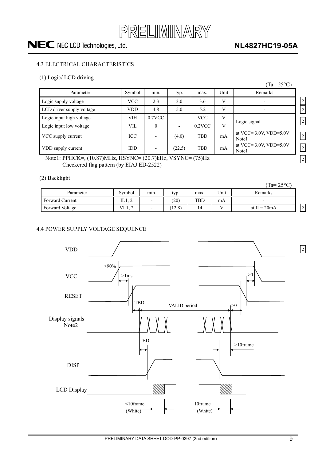

### **NL4827HC19-05A**

#### 4.3 ELECTRICAL CHARACTERISTICS

#### (1) Logic/ LCD driving

|                                                            |            |                          |        |            |      | $Ta = 25^{\circ}C$                    |                |
|------------------------------------------------------------|------------|--------------------------|--------|------------|------|---------------------------------------|----------------|
| Parameter                                                  | Symbol     | min.                     | typ.   | max.       | Unit | Remarks                               |                |
| Logic supply voltage                                       | <b>VCC</b> | 2.3                      | 3.0    | 3.6        | V    |                                       | $\sqrt{2}$     |
| LCD driver supply voltage                                  | <b>VDD</b> | 4.8                      | 5.0    | 5.2        | V    |                                       | $\overline{c}$ |
| Logic input high voltage                                   | <b>VIH</b> | $0.7$ VCC                |        | <b>VCC</b> | V    | Logic signal                          | 2              |
| Logic input low voltage                                    | <b>VIL</b> | $\theta$                 |        | $0.2$ VCC  | V    |                                       |                |
| VCC supply current                                         | ICC        |                          | (4.0)  | TBD        | mA   | at VCC= $3.0V$ , VDD= $5.0V$<br>Note1 | $\overline{2}$ |
| VDD supply current                                         | <b>IDD</b> | $\overline{\phantom{0}}$ | (22.5) | <b>TBD</b> | mA   | at VCC= $3.0V$ , VDD= $5.0V$<br>Note1 | $\sqrt{2}$     |
| Note1: PPHCK=, (10.87)MHz, HSYNC= (20.7)kHz, VSYNC= (75)Hz |            |                          |        |            |      |                                       | $\sqrt{2}$     |

Note1: PPHCK=, (10.87)MHz, HSYNC= (20.7)kHz, VSYNC= (75)Hz Checkered flag pattern (by EIAJ ED-2522)

#### (2) Backlight

| $\sim$<br>-     |        |                          |        |      |      | $(Ta=25^{\circ}C)$       |                          |
|-----------------|--------|--------------------------|--------|------|------|--------------------------|--------------------------|
| Parameter       | Symbol | min.                     | typ.   | max. | Unit | Remarks                  |                          |
| Forward Current | 11.L   | $\overline{\phantom{0}}$ | (20)   | TBD  | mA   | $\overline{\phantom{a}}$ |                          |
| Forward Voltage | VL1, 2 | $\overline{\phantom{0}}$ | (12.8) | 14   |      | at $IL = 20mA$           | $\sim$<br>$\overline{2}$ |

#### 4.4 POWER SUPPLY VOLTAGE SEQUENCE

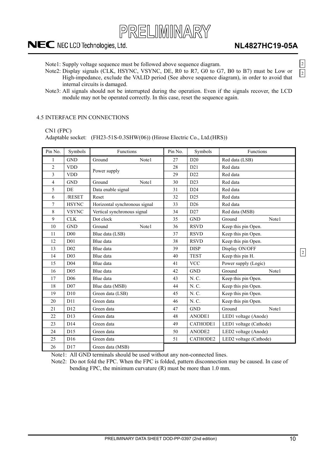

Note1: Supply voltage sequence must be followed above sequence diagram.

- Note2: Display signals (CLK, HSYNC, VSYNC, DE, R0 to R7, G0 to G7, B0 to B7) must be Low or High-impedance, exclude the VALID period (See above sequence diagram), in order to avoid that internal circuits is damaged.
- Note3: All signals should not be interrupted during the operation. Even if the signals recover, the LCD module may not be operated correctly. In this case, reset the sequence again.

#### 4.5 INTERFACE PIN CONNECTIONS

#### CN1 (FPC)

Adaptable socket: (FH23-51S-0.3SHW(06)) (Hirose Electric Co., Ltd.(HRS))

| Pin No.                 | Symbols         | Functions                     | Pin No. | Symbols         | Functions              |       |
|-------------------------|-----------------|-------------------------------|---------|-----------------|------------------------|-------|
| $\mathbf{1}$            | <b>GND</b>      | Ground<br>Note1               | 27      | D20             | Red data (LSB)         |       |
| $\overline{2}$          | <b>VDD</b>      |                               | 28      | D21             | Red data               |       |
| $\overline{\mathbf{3}}$ | <b>VDD</b>      | Power supply                  | 29      | D <sub>22</sub> | Red data               |       |
| $\overline{4}$          | <b>GND</b>      | Ground<br>Note1               | 30      | D23             | Red data               |       |
| 5                       | <b>DE</b>       | Data enable signal            | 31      | D24             | Red data               |       |
| 6                       | /RESET          | Reset                         | 32      | D <sub>25</sub> | Red data               |       |
| $\overline{7}$          | <b>HSYNC</b>    | Horizontal synchronous signal | 33      | D <sub>26</sub> | Red data               |       |
| 8                       | <b>VSYNC</b>    | Vertical synchronous signal   | 34      | D27             | Red data (MSB)         |       |
| 9                       | <b>CLK</b>      | Dot clock                     | 35      | <b>GND</b>      | Ground                 | Note1 |
| 10                      | <b>GND</b>      | Ground<br>Note1               | 36      | <b>RSVD</b>     | Keep this pin Open.    |       |
| 11                      | D00             | Blue data (LSB)               | 37      | <b>RSVD</b>     | Keep this pin Open.    |       |
| 12                      | D <sub>01</sub> | Blue data                     | 38      | <b>RSVD</b>     | Keep this pin Open.    |       |
| 13                      | D <sub>02</sub> | Blue data                     | 39      | <b>DISP</b>     | Display ON/OFF         |       |
| 14                      | D <sub>03</sub> | Blue data                     | 40      | <b>TEST</b>     | Keep this pin H.       |       |
| 15                      | D <sub>04</sub> | Blue data                     | 41      | <b>VCC</b>      | Power supply (Logic)   |       |
| 16                      | D <sub>05</sub> | Blue data                     | 42      | <b>GND</b>      | Ground                 | Note1 |
| 17                      | D <sub>06</sub> | Blue data                     | 43      | N. C.           | Keep this pin Open.    |       |
| 18                      | D07             | Blue data (MSB)               | 44      | N. C.           | Keep this pin Open.    |       |
| 19                      | D10             | Green data (LSB)              | 45      | N. C.           | Keep this pin Open.    |       |
| 20                      | D11             | Green data                    | 46      | N. C.           | Keep this pin Open.    |       |
| 21                      | D <sub>12</sub> | Green data                    | 47      | <b>GND</b>      | Ground                 | Note1 |
| 22                      | D13             | Green data                    | 48      | ANODE1          | LED1 voltage (Anode)   |       |
| 23                      | D14             | Green data                    | 49      | <b>CATHODE1</b> | LED1 voltage (Cathode) |       |
| 24                      | D15             | Green data                    | 50      | ANODE2          | LED2 voltage (Anode)   |       |
| 25                      | D16             | Green data                    | 51      | CATHODE2        | LED2 voltage (Cathode) |       |
| 26                      | D17             | Green data (MSB)              |         |                 |                        |       |

Note1: All GND terminals should be used without any non-connected lines.

Note2: Do not fold the FPC. When the FPC is folded, pattern disconnection may be caused. In case of bending FPC, the minimum curvature (R) must be more than 1.0 mm.

 $\boxed{2}$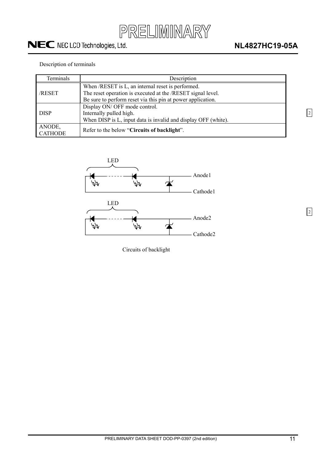

2

2

#### Description of terminals

| Terminals                | Description                                                                                                                |
|--------------------------|----------------------------------------------------------------------------------------------------------------------------|
| /RESET                   | When /RESET is L, an internal reset is performed.<br>The reset operation is executed at the /RESET signal level.           |
|                          | Be sure to perform reset via this pin at power application.                                                                |
| <b>DISP</b>              | Display ON/ OFF mode control.<br>Internally pulled high.<br>When DISP is L, input data is invalid and display OFF (white). |
| ANODE,<br><b>CATHODE</b> | Refer to the below "Circuits of backlight".                                                                                |



Circuits of backlight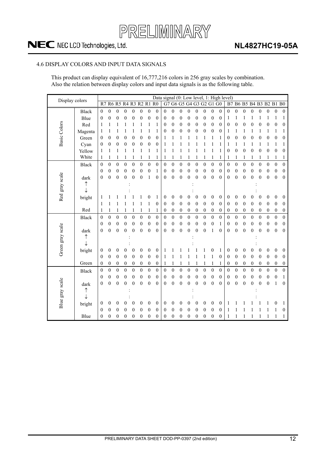

### **NL4827HC19-05A**

#### <span id="page-11-0"></span>4.6 DISPLAY COLORS AND INPUT DATA SIGNALS

This product can display equivalent of 16,777,216 colors in 256 gray scales by combination. Also the relation between display colors and input data signals is as the following table.

| Display colors   |              |                |                  |                  |                   |                  |                  |                  | Data signal (0: Low level, 1: High level) |                  |                  |                  |                  |                   |                  |                  |                  |                  |                  |                  |                  |                  |                  |                  |                  |
|------------------|--------------|----------------|------------------|------------------|-------------------|------------------|------------------|------------------|-------------------------------------------|------------------|------------------|------------------|------------------|-------------------|------------------|------------------|------------------|------------------|------------------|------------------|------------------|------------------|------------------|------------------|------------------|
|                  |              | R7             |                  |                  | R6 R5 R4 R3 R2 R1 |                  |                  |                  | R <sub>0</sub>                            | G7               |                  |                  |                  | G6 G5 G4 G3 G2 G1 |                  |                  | G <sub>0</sub>   |                  |                  | B7 B6 B5 B4 B3   |                  |                  | <b>B2 B1 B0</b>  |                  |                  |
|                  | <b>Black</b> | $\mathbf{0}$   | $\boldsymbol{0}$ | $\boldsymbol{0}$ | $\boldsymbol{0}$  | $\boldsymbol{0}$ | $\mathbf{0}$     | $\mathbf{0}$     | $\boldsymbol{0}$                          | $\boldsymbol{0}$ | $\mathbf{0}$     | $\boldsymbol{0}$ | $\boldsymbol{0}$ | $\mathbf{0}$      | $\boldsymbol{0}$ | $\boldsymbol{0}$ | $\mathbf{0}$     | $\boldsymbol{0}$ | $\boldsymbol{0}$ | $\boldsymbol{0}$ | $\boldsymbol{0}$ | $\boldsymbol{0}$ | $\boldsymbol{0}$ | $\boldsymbol{0}$ | $\boldsymbol{0}$ |
|                  | Blue         | $\theta$       | $\boldsymbol{0}$ | $\mathbf{0}$     | $\theta$          | $\mathbf{0}$     | $\boldsymbol{0}$ | $\overline{0}$   | 0                                         | $\boldsymbol{0}$ | $\boldsymbol{0}$ | $\boldsymbol{0}$ | $\boldsymbol{0}$ | 0                 | $\boldsymbol{0}$ | $\boldsymbol{0}$ | $\boldsymbol{0}$ | 1                | 1                | 1                | 1                | 1                | 1                | 1                | 1                |
|                  | Red          | 1              | 1                | 1                | 1                 | 1                | 1                | 1                | 1                                         | $\boldsymbol{0}$ | $\boldsymbol{0}$ | $\boldsymbol{0}$ | $\boldsymbol{0}$ | 0                 | $\boldsymbol{0}$ | $\boldsymbol{0}$ | $\boldsymbol{0}$ | 0                | $\boldsymbol{0}$ | $\boldsymbol{0}$ | 0                | $\boldsymbol{0}$ | $\boldsymbol{0}$ | 0                | $\boldsymbol{0}$ |
| Basic Colors     | Magenta      | 1              | 1                |                  | 1                 |                  | 1                | 1                | 1                                         | $\boldsymbol{0}$ | $\boldsymbol{0}$ | $\boldsymbol{0}$ | $\overline{0}$   | 0                 | 0                | $\boldsymbol{0}$ | $\boldsymbol{0}$ | 1                | 1                | 1                | 1                | 1                | 1                | 1                | 1                |
|                  | Green        | $\mathbf{0}$   | $\boldsymbol{0}$ | $\boldsymbol{0}$ | $\theta$          | $\mathbf{0}$     | $\boldsymbol{0}$ | 0                | 0                                         | 1                | 1                |                  |                  |                   |                  | 1                |                  | $\boldsymbol{0}$ | $\boldsymbol{0}$ | $\boldsymbol{0}$ | 0                | $\mathbf{0}$     | $\theta$         | $\overline{0}$   | 0                |
|                  | Cyan         | $\mathbf{0}$   | 0                | $\boldsymbol{0}$ | $\boldsymbol{0}$  | $\boldsymbol{0}$ | $\boldsymbol{0}$ | $\boldsymbol{0}$ | $\boldsymbol{0}$                          | 1                |                  |                  |                  |                   |                  | 1                | 1                | 1                | 1                | 1                | 1                | 1                | 1                | 1                | 1                |
|                  | Yellow       | 1              | 1                | 1                | 1                 | 1                | 1                | 1                | 1                                         | 1                | 1                | 1                |                  |                   | 1                | 1                | 1                | $\boldsymbol{0}$ | 0                | 0                | 0                | $\boldsymbol{0}$ | 0                | 0                | 0                |
|                  | White        | 1              | 1                | 1                | 1                 |                  | 1                | 1                | 1                                         | 1                | 1                | 1                |                  |                   | 1                | $\mathbf{1}$     | 1                | 1                | 1                | 1                | 1                | 1                | 1                | 1                | 1                |
|                  | Black        | $\mathbf{0}$   | $\mathbf{0}$     | $\mathbf{0}$     | $\boldsymbol{0}$  | $\boldsymbol{0}$ | $\mathbf{0}$     | $\mathbf{0}$     | $\boldsymbol{0}$                          | $\mathbf{0}$     | $\mathbf{0}$     | $\mathbf{0}$     | $\boldsymbol{0}$ | $\mathbf{0}$      | $\boldsymbol{0}$ | $\mathbf{0}$     | $\mathbf{0}$     | $\boldsymbol{0}$ | $\boldsymbol{0}$ | $\mathbf{0}$     | $\boldsymbol{0}$ | $\mathbf{0}$     | $\boldsymbol{0}$ | $\mathbf{0}$     | $\boldsymbol{0}$ |
|                  |              | $\theta$       | $\theta$         | $\boldsymbol{0}$ | $\boldsymbol{0}$  | $\boldsymbol{0}$ | $\boldsymbol{0}$ | 0                | 1                                         | $\theta$         | $\boldsymbol{0}$ | $\boldsymbol{0}$ | $\boldsymbol{0}$ | 0                 | 0                | $\boldsymbol{0}$ | 0                | $\boldsymbol{0}$ | $\boldsymbol{0}$ | $\boldsymbol{0}$ | 0                | $\boldsymbol{0}$ | $\boldsymbol{0}$ | $\boldsymbol{0}$ | 0                |
| Red gray scale   | dark         | $\overline{0}$ | $\mathbf{0}$     | $\overline{0}$   | $\overline{0}$    | $\boldsymbol{0}$ | $\boldsymbol{0}$ | 1                | 0                                         | $\boldsymbol{0}$ | $\boldsymbol{0}$ | $\boldsymbol{0}$ | $\overline{0}$   | $\theta$          | $\boldsymbol{0}$ | $\boldsymbol{0}$ | $\overline{0}$   | $\boldsymbol{0}$ | $\boldsymbol{0}$ | $\boldsymbol{0}$ | 0                | $\mathbf{0}$     | $\mathbf{0}$     | $\mathbf{0}$     | $\boldsymbol{0}$ |
|                  | ↑            |                |                  |                  |                   |                  |                  |                  |                                           |                  |                  |                  |                  |                   |                  |                  |                  |                  |                  |                  |                  |                  |                  |                  |                  |
|                  | $\downarrow$ |                |                  |                  |                   |                  |                  |                  |                                           |                  |                  |                  |                  |                   |                  |                  |                  |                  |                  |                  |                  |                  |                  |                  |                  |
|                  | bright       | 1              |                  |                  |                   |                  |                  | 0                | 1                                         | $\boldsymbol{0}$ | $\boldsymbol{0}$ | $\boldsymbol{0}$ | 0                | 0                 | 0                | $\boldsymbol{0}$ | $\boldsymbol{0}$ | $\boldsymbol{0}$ | $\boldsymbol{0}$ | $\boldsymbol{0}$ | 0                | $\boldsymbol{0}$ | $\boldsymbol{0}$ | 0                | $\boldsymbol{0}$ |
|                  |              | 1              | 1                | 1                | 1                 | 1                | $\mathbf{1}$     | 1                | 0                                         | $\boldsymbol{0}$ | $\boldsymbol{0}$ | $\boldsymbol{0}$ | $\boldsymbol{0}$ | $\boldsymbol{0}$  | $\boldsymbol{0}$ | $\boldsymbol{0}$ | $\boldsymbol{0}$ | $\boldsymbol{0}$ | $\boldsymbol{0}$ | $\boldsymbol{0}$ | 0                | $\boldsymbol{0}$ | $\boldsymbol{0}$ | $\boldsymbol{0}$ | 0                |
|                  | Red          | 1              | 1                |                  | 1                 |                  | $\mathbf{1}$     | 1                | 1                                         | $\boldsymbol{0}$ | $\boldsymbol{0}$ | $\boldsymbol{0}$ | $\boldsymbol{0}$ | $\boldsymbol{0}$  | $\boldsymbol{0}$ | $\boldsymbol{0}$ | $\boldsymbol{0}$ | $\boldsymbol{0}$ | $\boldsymbol{0}$ | $\boldsymbol{0}$ | 0                | $\boldsymbol{0}$ | $\boldsymbol{0}$ | $\boldsymbol{0}$ | $\boldsymbol{0}$ |
|                  | Black        | $\mathbf{0}$   | $\mathbf{0}$     | $\mathbf{0}$     | $\mathbf{0}$      | $\mathbf{0}$     | $\mathbf{0}$     | $\overline{0}$   | $\mathbf{0}$                              | $\overline{0}$   | $\mathbf{0}$     | $\mathbf{0}$     | $\mathbf{0}$     | $\overline{0}$    | $\mathbf{0}$     | $\mathbf{0}$     | $\overline{0}$   | $\mathbf{0}$     | $\mathbf{0}$     | $\mathbf{0}$     | $\mathbf{0}$     | $\mathbf{0}$     | $\overline{0}$   | $\mathbf{0}$     | $\mathbf{0}$     |
|                  |              | $\theta$       | $\boldsymbol{0}$ | $\boldsymbol{0}$ | $\boldsymbol{0}$  | $\boldsymbol{0}$ | $\boldsymbol{0}$ | $\mathbf{0}$     | 0                                         | $\boldsymbol{0}$ | $\boldsymbol{0}$ | $\boldsymbol{0}$ | $\boldsymbol{0}$ | $\mathbf{0}$      | $\boldsymbol{0}$ | $\boldsymbol{0}$ | 1                | $\boldsymbol{0}$ | $\boldsymbol{0}$ | $\boldsymbol{0}$ | 0                | $\boldsymbol{0}$ | $\boldsymbol{0}$ | $\boldsymbol{0}$ | $\boldsymbol{0}$ |
|                  | dark         | $\theta$       | $\theta$         | $\theta$         | $\mathbf{0}$      | $\mathbf{0}$     | $\overline{0}$   | $\overline{0}$   | $\boldsymbol{0}$                          | $\theta$         | $\overline{0}$   | $\overline{0}$   | $\mathbf{0}$     | $\theta$          | $\mathbf{0}$     | 1                | $\overline{0}$   | $\boldsymbol{0}$ | $\overline{0}$   | $\mathbf{0}$     | 0                | $\theta$         | $\theta$         | $\mathbf{0}$     | $\theta$         |
|                  | ↑            |                |                  |                  |                   |                  |                  |                  |                                           |                  |                  |                  |                  |                   |                  |                  |                  |                  |                  |                  |                  |                  |                  |                  |                  |
| Green gray scale | ↓            |                |                  |                  |                   |                  |                  |                  |                                           |                  |                  |                  |                  |                   |                  |                  |                  |                  |                  |                  |                  |                  |                  |                  |                  |
|                  | bright       | $\mathbf{0}$   | 0                | $\theta$         | 0                 | $\boldsymbol{0}$ | $\boldsymbol{0}$ | $\overline{0}$   | 0                                         | 1                |                  |                  |                  |                   | 1                | $\boldsymbol{0}$ | 1                | $\boldsymbol{0}$ | 0                | $\boldsymbol{0}$ | 0                | $\mathbf{0}$     | $\boldsymbol{0}$ | 0                | 0                |
|                  |              | $\theta$       | $\boldsymbol{0}$ | $\boldsymbol{0}$ | $\boldsymbol{0}$  | $\boldsymbol{0}$ | $\boldsymbol{0}$ | $\mathbf{0}$     | $\boldsymbol{0}$                          | 1                | 1                | 1                | 1                |                   | 1                | $\mathbf{1}$     | $\boldsymbol{0}$ | $\boldsymbol{0}$ | $\mathbf{0}$     | $\mathbf{0}$     | 0                | $\boldsymbol{0}$ | $\boldsymbol{0}$ | $\mathbf{0}$     | 0                |
|                  | Green        | $\theta$       | $\theta$         | $\boldsymbol{0}$ | $\boldsymbol{0}$  | $\boldsymbol{0}$ | $\boldsymbol{0}$ | 0                | 0                                         | 1                | 1                | 1                | 1                | 1                 | 1                | 1                | 1                | 0                | 0                | $\boldsymbol{0}$ | 0                | $\boldsymbol{0}$ | $\boldsymbol{0}$ | $\boldsymbol{0}$ | $\boldsymbol{0}$ |
|                  | <b>Black</b> | $\mathbf{0}$   | $\boldsymbol{0}$ | $\boldsymbol{0}$ | $\boldsymbol{0}$  | $\boldsymbol{0}$ | $\boldsymbol{0}$ | $\boldsymbol{0}$ | $\boldsymbol{0}$                          | $\boldsymbol{0}$ | $\boldsymbol{0}$ | $\boldsymbol{0}$ | $\boldsymbol{0}$ | $\boldsymbol{0}$  | $\boldsymbol{0}$ | $\boldsymbol{0}$ | $\boldsymbol{0}$ | $\boldsymbol{0}$ | $\boldsymbol{0}$ | $\boldsymbol{0}$ | $\boldsymbol{0}$ | $\boldsymbol{0}$ | $\boldsymbol{0}$ | $\boldsymbol{0}$ | $\boldsymbol{0}$ |
|                  |              | $\theta$       | $\boldsymbol{0}$ | $\boldsymbol{0}$ | $\boldsymbol{0}$  | $\mathbf{0}$     | $\mathbf{0}$     | $\mathbf{0}$     | 0                                         | $\boldsymbol{0}$ | $\mathbf{0}$     | $\mathbf{0}$     | $\boldsymbol{0}$ | $\boldsymbol{0}$  | $\boldsymbol{0}$ | $\boldsymbol{0}$ | $\boldsymbol{0}$ | $\boldsymbol{0}$ | $\boldsymbol{0}$ | $\mathbf{0}$     | 0                | $\boldsymbol{0}$ | $\boldsymbol{0}$ | $\mathbf{0}$     | 1                |
|                  | dark         | $\overline{0}$ | $\mathbf{0}$     | $\mathbf{0}$     | $\mathbf{0}$      | $\overline{0}$   | $\overline{0}$   | $\overline{0}$   | $\mathbf{0}$                              | $\theta$         | $\overline{0}$   | $\overline{0}$   | $\mathbf{0}$     | $\mathbf{0}$      | $\overline{0}$   | $\mathbf{0}$     | $\overline{0}$   | $\boldsymbol{0}$ | $\overline{0}$   | $\overline{0}$   | $\overline{0}$   | $\overline{0}$   | $\overline{0}$   | 1                | $\mathbf{0}$     |
|                  | ↑            |                |                  |                  |                   |                  |                  |                  |                                           |                  |                  |                  |                  |                   |                  |                  |                  |                  |                  |                  |                  |                  |                  |                  |                  |
|                  | ↓            |                |                  |                  |                   |                  |                  |                  |                                           |                  |                  |                  |                  |                   |                  |                  |                  |                  |                  |                  |                  |                  |                  |                  |                  |
| Blue gray scale  | bright       | 0              | $\boldsymbol{0}$ | $\mathbf{0}$     | 0                 | $\boldsymbol{0}$ | $\boldsymbol{0}$ | 0                | 0                                         | $\boldsymbol{0}$ | $\boldsymbol{0}$ | $\boldsymbol{0}$ | 0                | 0                 | $\boldsymbol{0}$ | $\boldsymbol{0}$ | 0                | 1                |                  |                  |                  |                  |                  | 0                | 1                |
|                  |              | $\theta$       | 0                | $\theta$         | $\theta$          | $\mathbf{0}$     | $\overline{0}$   | 0                | $\boldsymbol{0}$                          | $\boldsymbol{0}$ | 0                | $\mathbf{0}$     | 0                | 0                 | 0                | $\theta$         | $\overline{0}$   | 1                |                  |                  |                  |                  |                  |                  | 0                |
|                  | Blue         | 0              | 0                | $\boldsymbol{0}$ | $\boldsymbol{0}$  | $\boldsymbol{0}$ | $\boldsymbol{0}$ | 0                | 0                                         | $\boldsymbol{0}$ | 0                | $\boldsymbol{0}$ | 0                | 0                 | 0                | $\boldsymbol{0}$ | 0                | 1                |                  |                  |                  | 1                |                  | 1                | 1                |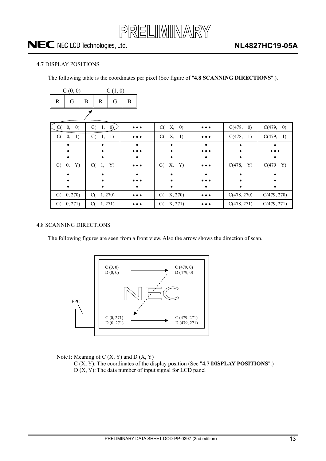

#### <span id="page-12-0"></span>4.7 DISPLAY POSITIONS

The following table is the coordinates per pixel (See figure of "**4.8 SCANNING DIRECTIONS**".).

| C(0, 0)                       | C(1, 0)                |                         |                |                         |                             |                             |
|-------------------------------|------------------------|-------------------------|----------------|-------------------------|-----------------------------|-----------------------------|
| $\mathbb{R}$<br>G             | B<br>G<br>$\mathbb{R}$ | B                       |                |                         |                             |                             |
|                               |                        |                         |                |                         |                             |                             |
| $\left( 0\right)$<br>0,<br>C( | $C(-1, 0)$             | $\bullet\bullet\bullet$ | X, 0)<br>C(    | $\bullet\bullet\bullet$ | C(478,<br>$\left( 0\right)$ | C(479,<br>$\left( 0\right)$ |
| 1)<br>C(<br>0,                | C(<br>1)<br>1,         | $\cdots$                | C(<br>Х,<br>1) | $\bullet\bullet\bullet$ | C(478,<br>1)                | C(479,<br>1)                |
|                               |                        |                         |                |                         |                             |                             |
|                               |                        |                         |                |                         |                             |                             |
|                               |                        |                         |                |                         |                             |                             |
| Y)<br>C(<br>0,                | $C(-1,$<br>Y)          | $\bullet\bullet\bullet$ | X, Y)<br>C(    | $\bullet\bullet\bullet$ | C(478,<br>Y)                | C(479<br>Y)                 |
|                               |                        |                         |                |                         |                             |                             |
|                               |                        |                         |                |                         |                             |                             |
|                               |                        |                         | ٠              |                         |                             |                             |
| 0, 270<br>C(                  | C(1, 270)              | $\bullet\bullet\bullet$ | X, 270)<br>C(  | $\bullet\bullet\bullet$ | C(478, 270)                 | C(479, 270)                 |
| 0, 271)<br>C(                 | 1, 271)<br>C(          |                         | X, 271)<br>C(  |                         | C(478, 271)                 | C(479, 271)                 |

#### 4.8 SCANNING DIRECTIONS

The following figures are seen from a front view. Also the arrow shows the direction of scan.



Note1: Meaning of  $C(X, Y)$  and  $D(X, Y)$ 

C (X, Y): The coordinates of the display position (See "**4.7 DISPLAY POSITIONS**".)  $D(X, Y)$ : The data number of input signal for LCD panel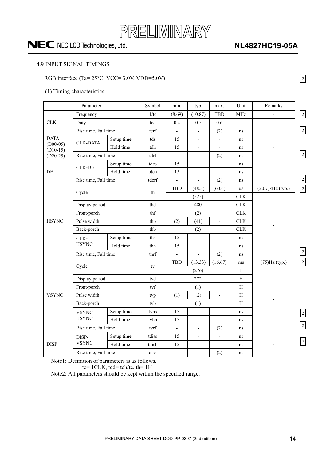

### **NL4827HC19-05A**

2

#### <span id="page-13-0"></span>4.9 INPUT SIGNAL TIMINGS

#### RGB interface (Ta=  $25^{\circ}$ C, VCC= 3.0V, VDD=5.0V)

#### (1) Timing characteristics

|                                                                                                                                                                                                                                                                      | Parameter            |            | Symbol | min.                     | typ.                         | max.                     | Unit           | Remarks               |                |
|----------------------------------------------------------------------------------------------------------------------------------------------------------------------------------------------------------------------------------------------------------------------|----------------------|------------|--------|--------------------------|------------------------------|--------------------------|----------------|-----------------------|----------------|
|                                                                                                                                                                                                                                                                      |                      |            | 1/tc   | (8.69)                   | (10.87)                      | <b>TBD</b>               | MHz            |                       | $\boxed{2}$    |
|                                                                                                                                                                                                                                                                      |                      |            | tcd    | 0.4                      | 0.5                          | 0.6                      | $\overline{a}$ |                       |                |
|                                                                                                                                                                                                                                                                      |                      |            | tcrf   |                          |                              |                          |                |                       | $\boxed{2}$    |
|                                                                                                                                                                                                                                                                      |                      |            |        |                          | $\overline{\phantom{0}}$     | (2)                      | ns             |                       |                |
| $(D00-05)$                                                                                                                                                                                                                                                           | <b>CLK-DATA</b>      | Setup time | tds    | 15                       | $\overline{\phantom{0}}$     | $\blacksquare$           | ns             |                       |                |
| $(D10-15)$                                                                                                                                                                                                                                                           |                      | Hold time  | tdh    | 15                       | $\overline{\phantom{0}}$     |                          | ns             |                       |                |
|                                                                                                                                                                                                                                                                      |                      |            | tdrf   | $\overline{\phantom{a}}$ | $\overline{a}$               | (2)                      | ns             |                       | $\boxed{2}$    |
|                                                                                                                                                                                                                                                                      |                      | Setup time | tdes   | 15                       | $\overline{a}$               | $\overline{\phantom{0}}$ | ns             |                       |                |
|                                                                                                                                                                                                                                                                      |                      | Hold time  | tdeh   | 15                       | $\overline{\phantom{0}}$     | $\overline{a}$           | ns             |                       |                |
|                                                                                                                                                                                                                                                                      | Rise time, Fall time |            | tderf  | $\overline{\phantom{a}}$ | $\overline{a}$               | (2)                      | ns             |                       | $\overline{2}$ |
|                                                                                                                                                                                                                                                                      | Cycle                |            | th     | <b>TBD</b>               | (48.3)                       | (60.4)                   | $\mu$ s        | $(20.7)$ kHz $(typ.)$ | $\boxed{2}$    |
|                                                                                                                                                                                                                                                                      |                      |            |        |                          | (525)                        |                          | <b>CLK</b>     |                       |                |
|                                                                                                                                                                                                                                                                      | Display period       |            | thd    |                          | 480                          |                          | ${\rm CLK}$    |                       |                |
|                                                                                                                                                                                                                                                                      | Front-porch          |            | thf    | (2)                      |                              |                          | ${\rm CLK}$    |                       |                |
| <b>HSYNC</b>                                                                                                                                                                                                                                                         | Pulse width          |            | thp    | (2)                      | (41)                         | $\blacksquare$           | <b>CLK</b>     |                       |                |
|                                                                                                                                                                                                                                                                      | Back-porch           |            | thb    |                          | (2)                          |                          | ${\rm CLK}$    |                       |                |
| Frequency<br>${\rm CLK}$<br>Duty<br>Rise time, Fall time<br><b>DATA</b><br>Rise time, Fall time<br>$(D20-25)$<br><b>CLK-DE</b><br>DE<br>CLK-<br><b>HSYNC</b><br>Cycle<br>Front-porch<br>Pulse width<br>Back-porch<br>VSYNC-<br><b>HSYNC</b><br>DISP-<br><b>VSYNC</b> |                      | Setup time | ths    | 15                       | -                            | $\overline{\phantom{a}}$ | ns             |                       |                |
|                                                                                                                                                                                                                                                                      | Hold time            | thh        | 15     | $\overline{\phantom{a}}$ | $\overline{a}$               | ns                       |                |                       |                |
|                                                                                                                                                                                                                                                                      | Rise time, Fall time |            | thrf   |                          |                              | (2)                      | ns             |                       | $\boxed{2}$    |
|                                                                                                                                                                                                                                                                      |                      |            | tv     | TBD                      | (13.33)                      | (16.67)                  | ms             | $(75)Hz$ (typ.)       | $\boxed{2}$    |
|                                                                                                                                                                                                                                                                      |                      |            |        | (276)                    |                              |                          | H              |                       |                |
|                                                                                                                                                                                                                                                                      | Display period       |            | tvd    |                          | 272                          |                          | H              |                       |                |
|                                                                                                                                                                                                                                                                      |                      |            | tvf    |                          | (1)                          |                          | $\mathbf H$    |                       |                |
| <b>VSYNC</b>                                                                                                                                                                                                                                                         |                      |            | tvp    | (1)                      | (2)                          | $\overline{\phantom{0}}$ | $\mathbf H$    |                       |                |
|                                                                                                                                                                                                                                                                      |                      |            | tvb    |                          | (1)                          |                          | H              |                       |                |
|                                                                                                                                                                                                                                                                      |                      | Setup time | tyhs   | 15                       | $\overline{a}$               | $\overline{a}$           | ns             |                       | $\vert$ 2      |
|                                                                                                                                                                                                                                                                      |                      | Hold time  | tvhh   | 15                       | $\qquad \qquad \blacksquare$ | $\qquad \qquad -$        | ns             |                       |                |
|                                                                                                                                                                                                                                                                      | Rise time, Fall time |            | tvrf   | $\overline{a}$           | $\overline{a}$               | (2)                      | ns             |                       | $\boxed{2}$    |
|                                                                                                                                                                                                                                                                      |                      | Setup time | tdiss  | 15                       | -                            | $\overline{a}$           | ns             |                       |                |
| <b>DISP</b>                                                                                                                                                                                                                                                          |                      | Hold time  | tdish  | 15                       | $\overline{\phantom{a}}$     | $\overline{\phantom{a}}$ | ns             |                       | $\vert$ 2      |
|                                                                                                                                                                                                                                                                      | Rise time, Fall time |            | tdisrf | $\overline{\phantom{a}}$ | $\overline{a}$               | (2)                      | ns             |                       |                |

Note1: Definition of parameters is as follows.

tc= 1CLK, tcd= tch/tc, th= 1H

Note2: All parameters should be kept within the specified range.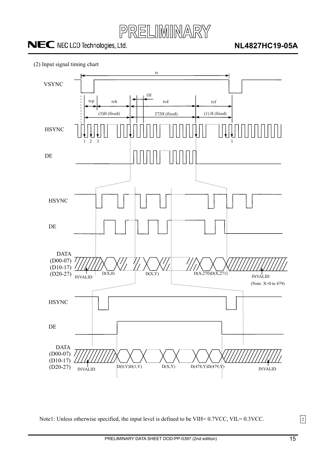





Note1: Unless otherwise specified, the input level is defined to be VIH= 0.7VCC, VIL= 0.3VCC.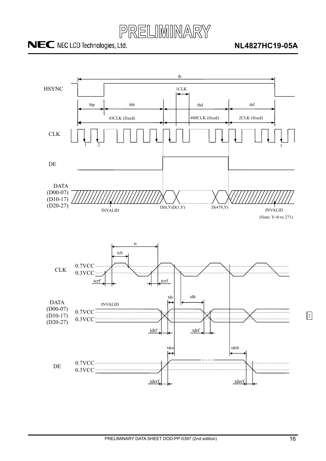

### **NL4827HC19-05A**

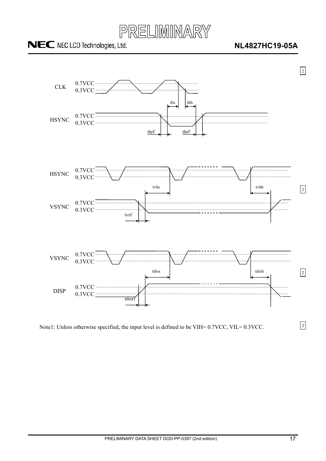

### **NL4827HC19-05A**



Note1: Unless otherwise specified, the input level is defined to be VIH= 0.7VCC, VIL= 0.3VCC.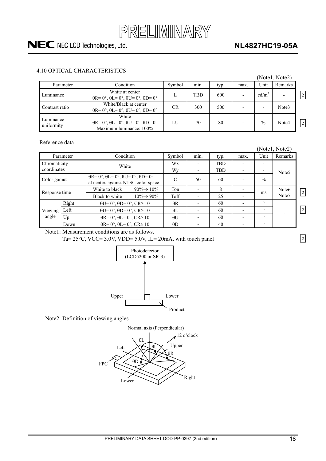

### **NL4827HC19-05A**

#### <span id="page-17-0"></span>4.10 OPTICAL CHARACTERISTICS

|                         |                                                                                                    |           |      |      |                          |                   | (Notel, Note2) |                |
|-------------------------|----------------------------------------------------------------------------------------------------|-----------|------|------|--------------------------|-------------------|----------------|----------------|
| Parameter               | Condition                                                                                          | Symbol    | min. | typ. | max.                     | Unit              | Remarks        |                |
| Luminance               | White at center<br>$\theta$ R= 0°, $\theta$ L= 0°, $\theta$ U= 0°, $\theta$ D= 0°                  | L         | TBD  | 600  | $\overline{\phantom{0}}$ | cd/m <sup>2</sup> |                | $\overline{2}$ |
| Contrast ratio          | White/Black at center<br>$\theta$ R= 0°, $\theta$ L= 0°, $\theta$ U= 0°, $\theta$ D= 0°            | <b>CR</b> | 300  | 500  |                          |                   | Note3          |                |
| Luminance<br>uniformity | White<br>$\theta$ R= 0°, $\theta$ L= 0°, $\theta$ U= 0°, $\theta$ D= 0°<br>Maximum luminance: 100% | LU        | 70   | 80   |                          | $\frac{0}{0}$     | Note4          | $\overline{2}$ |

#### Reference data

|                  |       |                                                                                                       |                                 |               |      |            |                          |               | (Notel, Note2)    |                |
|------------------|-------|-------------------------------------------------------------------------------------------------------|---------------------------------|---------------|------|------------|--------------------------|---------------|-------------------|----------------|
| Parameter        |       | Condition                                                                                             |                                 | Symbol        | min. | typ.       | max.                     | Unit          | Remarks           |                |
| Chromaticity     |       | White                                                                                                 |                                 | Wx            |      | <b>TBD</b> |                          |               | Note <sub>5</sub> |                |
| coordinates      |       |                                                                                                       |                                 | Wy            |      | <b>TBD</b> | $\blacksquare$           |               |                   |                |
| Color gamut      |       | $\theta$ R= 0°, $\theta$ L= 0°, $\theta$ U= 0°, $\theta$ D= 0°<br>at center, against NTSC color space |                                 | $\mathcal{C}$ | 50   | 60         |                          | $\frac{0}{0}$ |                   |                |
| Response time    |       | White to black                                                                                        | $90\% \rightarrow 10\%$         | Ton           |      | 8          |                          |               | Note <sub>6</sub> |                |
|                  |       | Black to white                                                                                        | Toff<br>$10\% \rightarrow 90\%$ | 25            |      | ms         | Note7                    |               |                   |                |
| Viewing<br>angle | Right | $\theta U = 0^\circ$ , $\theta D = 0^\circ$ , $CR \ge 10$                                             |                                 | $\theta$ R    |      | 60         | ٠                        | $\circ$       |                   |                |
|                  | Left  | $\theta U = 0^\circ$ , $\theta D = 0^\circ$ , $CR \ge 10^\circ$                                       |                                 | $\theta$ L    |      | 60         | $\overline{\phantom{0}}$ | $\circ$       |                   | $\overline{2}$ |
|                  | Up    | $\theta$ R= 0°, $\theta$ L= 0°, CR≥ 10<br>$\theta$ R= 0°, $\theta$ L= 0°, CR≥ 10                      |                                 | $\theta$ U    |      | 60         | $\blacksquare$           | $\circ$       |                   |                |
|                  | Down  |                                                                                                       |                                 | $\theta$ D    |      | 40         |                          | $\circ$       |                   |                |
|                  |       |                                                                                                       |                                 |               |      |            |                          |               |                   |                |

Note1: Measurement conditions are as follows.

Ta=  $25^{\circ}$ C, VCC=  $3.0$ V, VDD=  $5.0$ V, IL=  $20$ mA, with touch panel



Note2: Definition of viewing angles

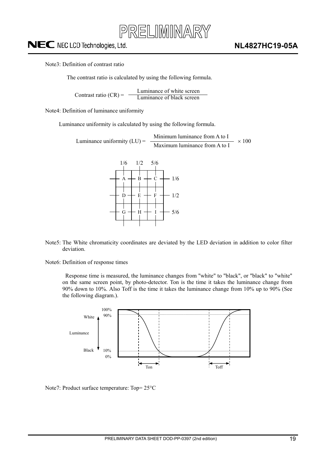

Note3: Definition of contrast ratio

The contrast ratio is calculated by using the following formula.

Luminance of white screen Contrast ratio  $(CR) = \frac{E$  contrast ratio  $(CR) = \frac{E}{L}$ 

Note4: Definition of luminance uniformity

Luminance uniformity is calculated by using the following formula.

Minimum luminance from A to I Luminance uniformity (LU) =  $\frac{1.4 \times 100}{\text{Maximum luminance from A to I}} \times 100$ 



- Note5: The White chromaticity coordinates are deviated by the LED deviation in addition to color filter deviation.
- Note6: Definition of response times

Response time is measured, the luminance changes from "white" to "black", or "black" to "white" on the same screen point, by photo-detector. Ton is the time it takes the luminance change from 90% down to 10%. Also Toff is the time it takes the luminance change from 10% up to 90% (See the following diagram.).



Note7: Product surface temperature:  $Top = 25^{\circ}C$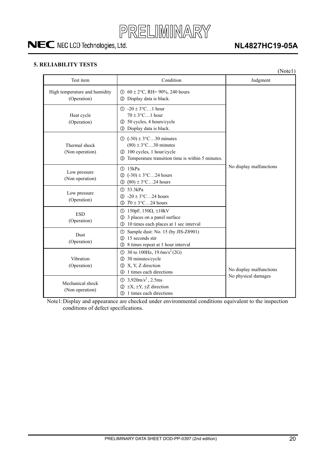

### **NL4827HC19-05A**

#### <span id="page-19-0"></span>**5. RELIABILITY TESTS**

|                                              |                                                                                                                                                          | (Note1)                 |  |
|----------------------------------------------|----------------------------------------------------------------------------------------------------------------------------------------------------------|-------------------------|--|
| Test item                                    | Condition                                                                                                                                                | Judgment                |  |
| High temperature and humidity<br>(Operation) | ① $60 \pm 2$ °C, RH= 90%, 240 hours<br>2 Display data is black.                                                                                          |                         |  |
| Heat cycle<br>(Operation)                    | $\textcircled{1}$ -20 ± 3°C1 hour<br>$70 \pm 3$ °C1 hour<br>2 50 cycles, 4 hours/cycle<br>3 Display data is black.                                       |                         |  |
| Thermal shock<br>(Non operation)             | $\textcircled{1}$ (-30) ± 3°C30 minutes<br>$(80) \pm 3$ °C30 minutes<br>2 100 cycles, 1 hour/cycle<br>Temperature transition time is within 5 minutes.   |                         |  |
| Low pressure<br>(Non operation)              | <b>15kPa</b><br>$(-30) \pm 3$ °C24 hours<br>$\circled{2}$<br>$(80) \pm 3$ °C24 hours<br>3                                                                | No display malfunctions |  |
| Low pressure<br>(Operation)                  | (1) 53.3kPa<br>2 -20 ± $3^{\circ}$ C24 hours<br>$70 \pm 3$ °C24 hours<br>(3)                                                                             |                         |  |
| <b>ESD</b><br>(Operation)                    | ① 150pF, 150Ω, $\pm$ 10kV<br>3 places on a panel surface<br>(2)<br>10 times each places at 1 sec interval<br>$\circledS$                                 |                         |  |
| <b>Dust</b><br>(Operation)                   | Sample dust: No. 15 (by JIS-Z8901)<br>①<br>15 seconds stir<br>(2)<br>8 times repeat at 1 hour interval<br>③                                              |                         |  |
| Vibration<br>(Operation)                     | 30 to 100Hz, $19.6 \text{m/s}^2$ (2G)<br>$\odot$<br>30 minutes/cycle<br>$\circled{2}$<br>3 X, Y, Z direction<br>1 times each directions<br>$\circled{4}$ | No display malfunctions |  |
| Mechanical shock<br>(Non operation)          | $\textcircled{1}$ 3,920m/s <sup>2</sup> , 2.5ms<br>$\pm X$ , $\pm Y$ , $\pm Z$ direction<br>(2)<br>3 1 times each directions                             | No physical damages     |  |

Note1: Display and appearance are checked under environmental conditions equivalent to the inspection conditions of defect specifications.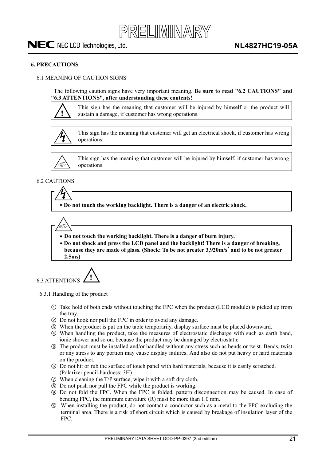

#### <span id="page-20-0"></span>**6. PRECAUTIONS**

#### 6.1 MEANING OF CAUTION SIGNS

The following caution signs have very important meaning. **Be sure to read "6.2 CAUTIONS" and "6.3 ATTENTIONS", after understanding these contents!** 



This sign has the meaning that customer will be injured by himself or the product will sustain a damage, if customer has wrong operations.



This sign has the meaning that customer will get an electrical shock, if customer has wrong operations.



This sign has the meaning that customer will be injured by himself, if customer has wrong operations.

#### 6.2 CAUTIONS

 **Do not touch the working backlight. There is a danger of an electric shock.** 

 **Do not touch the working backlight. There is a danger of burn injury.** 

  **Do not shock and press the LCD panel and the backlight! There is a danger of breaking,**  because they are made of glass. (Shock: To be not greater 3,920m/s<sup>2</sup> and to be not greater **2.5ms)**



#### 6.3.1 Handling of the product

- Take hold of both ends without touching the FPC when the product (LCD module) is picked up from the tray.
- ཱ Do not hook nor pull the FPC in order to avoid any damage.
- ི When the product is put on the table temporarily, display surface must be placed downward.
- ཱི When handling the product, take the measures of electrostatic discharge with such as earth band, ionic shower and so on, because the product may be damaged by electrostatic.
- $\circ$  The product must be installed and/or handled without any stress such as bends or twist. Bends, twist or any stress to any portion may cause display failures. And also do not put heavy or hard materials on the product.
- ཱུ Do not hit or rub the surface of touch panel with hard materials, because it is easily scratched. (Polarizer pencil-hardness: 3H)
- ྲྀ When cleaning the T/P surface, wipe it with a soft dry cloth.
- ཷ Do not push nor pull the FPC while the product is working.
- ླྀ Do not fold the FPC. When the FPC is folded, pattern disconnection may be caused. In case of bending FPC, the minimum curvature (R) must be more than 1.0 mm.
- ཹ When installing the product, do not contact a conductor such as a metal to the FPC excluding the terminal area. There is a risk of short circuit which is caused by breakage of insulation layer of the FPC.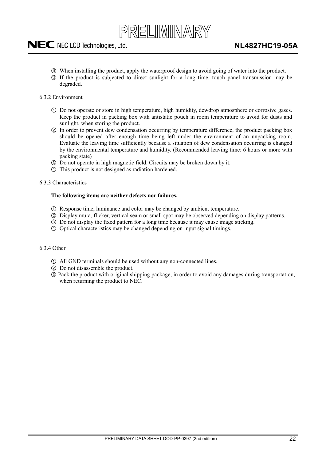

- <span id="page-21-0"></span>ེ When installing the product, apply the waterproof design to avoid going of water into the product.
- ཻ If the product is subjected to direct sunlight for a long time, touch panel transmission may be degraded.
- 6.3.2 Environment
	- Do not operate or store in high temperature, high humidity, dewdrop atmosphere or corrosive gases. Keep the product in packing box with antistatic pouch in room temperature to avoid for dusts and sunlight, when storing the product.
	- ཱ In order to prevent dew condensation occurring by temperature difference, the product packing box should be opened after enough time being left under the environment of an unpacking room. Evaluate the leaving time sufficiently because a situation of dew condensation occurring is changed by the environmental temperature and humidity. (Recommended leaving time: 6 hours or more with packing state)
	- ི Do not operate in high magnetic field. Circuits may be broken down by it.
	- ཱི This product is not designed as radiation hardened.
- 6.3.3 Characteristics

#### **The following items are neither defects nor failures.**

- Response time, luminance and color may be changed by ambient temperature.
- ཱ Display mura, flicker, vertical seam or small spot may be observed depending on display patterns.
- ི Do not display the fixed pattern for a long time because it may cause image sticking.
- ཱི Optical characteristics may be changed depending on input signal timings.

#### 6.3.4 Other

- All GND terminals should be used without any non-connected lines.
- ཱ Do not disassemble the product.
- ི Pack the product with original shipping package, in order to avoid any damages during transportation, when returning the product to NEC.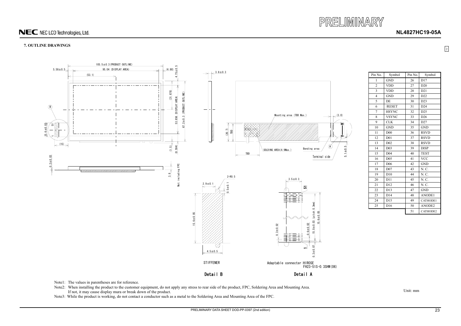

**NL4827HC19-05A**

#### **7. OUTLINE DRAWINGS**

Unit: mm

Note1: The values in parentheses are for reference.

- Note2: When installing the product to the customer equipment, do not apply any stress to rear side of the product, FPC, Soldering Area and Mounting Area. If not, it may cause display mura or break down of the product.
- Note3: While the product is working, do not contact a conductor such as a metal to the Soldering Area and Mounting Area of the FPC.

| Pin No.                 | Symbol          | Pin No. | Symbol          |
|-------------------------|-----------------|---------|-----------------|
| $\mathbf{1}$            | <b>GND</b>      | 26      | D17             |
| $\overline{2}$          | <b>VDD</b>      | 27      | D20             |
| 3                       | <b>VDD</b>      | 28      | D21             |
| $\overline{\mathbf{4}}$ | <b>GND</b>      | 29      | D22             |
| 5                       | DE              | 30      | D23             |
| 6                       | /RESET          | 31      | D <sub>24</sub> |
| 7                       | <b>HSYNC</b>    | 32      | D25             |
| 8                       | <b>VSYNC</b>    | 33      | D <sub>26</sub> |
| 9                       | <b>CLK</b>      | 34      | D <sub>27</sub> |
| 10                      | <b>GND</b>      | 35      | <b>GND</b>      |
| 11                      | D00             | 36      | <b>RSVD</b>     |
| 12                      | D <sub>01</sub> | 37      | <b>RSVD</b>     |
| 13                      | D <sub>02</sub> | 38      | <b>RSVD</b>     |
| 14                      | D <sub>03</sub> | 39      | <b>DISP</b>     |
| 15                      | D <sub>04</sub> | 40      | <b>TEST</b>     |
| 16                      | D <sub>05</sub> | 41      | <b>VCC</b>      |
| 17                      | D <sub>06</sub> | 42      | <b>GND</b>      |
| 18                      | D07             | 43      | N. C.           |
| 19                      | D10             | 44      | N. C.           |
| 20                      | D11             | 45      | N. C.           |
| 21                      | D12             | 46      | N. C.           |
| 22                      | D13             | 47      | <b>GND</b>      |
| 23                      | D14             | 48      | ANODE1          |
| 24                      | D15             | 49      | CATHODE1        |
| 25                      | D16             | 50      | ANODE2          |
|                         |                 | 51      | CATHODE2        |

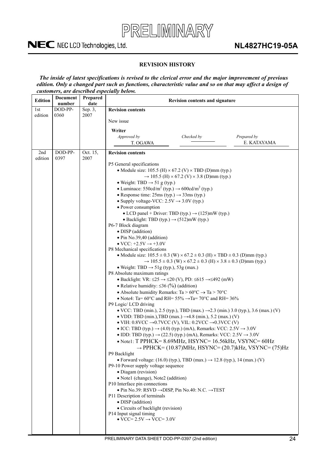

#### **REVISION HISTORY**

*The inside of latest specifications is revised to the clerical error and the major improvement of previous edition. Only a changed part such as functions, characteristic value and so on that may affect a design of customers, are described especially below.*

| <b>Edition</b> | <b>Document</b><br>number | Prepared<br>date | <b>Revision contents and signature</b>                                                                                                                 |  |  |  |
|----------------|---------------------------|------------------|--------------------------------------------------------------------------------------------------------------------------------------------------------|--|--|--|
| 1st            | DOD-PP-                   | Sep. 3,          | <b>Revision contents</b>                                                                                                                               |  |  |  |
| edition        | 0360                      | 2007             | New issue                                                                                                                                              |  |  |  |
|                |                           |                  |                                                                                                                                                        |  |  |  |
|                |                           |                  | Writer                                                                                                                                                 |  |  |  |
|                |                           |                  | Approved by<br>Checked by<br>Prepared by<br>E. KATAYAMA<br>T. OGAWA                                                                                    |  |  |  |
|                |                           |                  |                                                                                                                                                        |  |  |  |
| 2nd            | DOD-PP-<br>0397           | Oct. 15,<br>2007 | <b>Revision contents</b>                                                                                                                               |  |  |  |
| edition        |                           |                  | P5 General specifications                                                                                                                              |  |  |  |
|                |                           |                  | • Module size: $105.5$ (H) $\times$ 67.2 (V) $\times$ TBD (D)mm (typ.)                                                                                 |  |  |  |
|                |                           |                  | $\rightarrow$ 105.5 (H) × 67.2 (V) × 3.8 (D)mm (typ.)                                                                                                  |  |  |  |
|                |                           |                  | • Weight: TBD $\rightarrow$ 51 g (typ.)                                                                                                                |  |  |  |
|                |                           |                  | • Luminace: 550cd/m <sup>2</sup> (typ.) $\rightarrow$ 600cd/m <sup>2</sup> (typ.)                                                                      |  |  |  |
|                |                           |                  | • Response time: $25\text{ms (typ.)} \rightarrow 33\text{ms (typ.)}$                                                                                   |  |  |  |
|                |                           |                  | • Supply voltage-VCC: $2.5V \rightarrow 3.0V$ (typ.)                                                                                                   |  |  |  |
|                |                           |                  | • Power consumption<br>• LCD panel + Driver: TBD (typ.) $\rightarrow$ (125)mW (typ.)                                                                   |  |  |  |
|                |                           |                  | • Backlight: TBD (typ.) $\rightarrow$ (512)mW (typ.)                                                                                                   |  |  |  |
|                |                           |                  | P6-7 Block diagram                                                                                                                                     |  |  |  |
|                |                           |                  | · DISP (addition)                                                                                                                                      |  |  |  |
|                |                           |                  | • Pin No.39,40 (addition)                                                                                                                              |  |  |  |
|                |                           |                  | $\bullet$ VCC: $+2.5V \rightarrow +3.0V$                                                                                                               |  |  |  |
|                |                           |                  | P8 Mechanical specifications                                                                                                                           |  |  |  |
|                |                           |                  | • Module size: $105.5 \pm 0.3$ (W) $\times$ 67.2 $\pm$ 0.3 (H) $\times$ TBD $\pm$ 0.3 (D)mm (typ.)                                                     |  |  |  |
|                |                           |                  | $\rightarrow$ 105.5 ± 0.3 (W) × 67.2 ± 0.3 (H) × 3.8 ± 0.3 (D)mm (typ.)<br>• Weight: TBD $\rightarrow$ 51g (typ.), 53g (max.)                          |  |  |  |
|                |                           |                  | P8 Absolute maximum ratings                                                                                                                            |  |  |  |
|                |                           |                  | • Backlight: VR: $\leq$ 25 $\rightarrow$ $\leq$ 20 (V), PD: $\leq$ 615 $\rightarrow$ $\leq$ 492 (mW)                                                   |  |  |  |
|                |                           |                  | • Relative humidity: $\leq$ 36 (%) (addition)                                                                                                          |  |  |  |
|                |                           |                  | • Absolute humidity Remarks: Ta > $60^{\circ}$ C $\rightarrow$ Ta > 70°C                                                                               |  |  |  |
|                |                           |                  | • Note4: Ta= $60^{\circ}$ C and RH= $55\%$ $\rightarrow$ Ta= $70^{\circ}$ C and RH= $36\%$                                                             |  |  |  |
|                |                           |                  | P9 Logic/ LCD driving                                                                                                                                  |  |  |  |
|                |                           |                  | • VCC: TBD (min.), 2.5 (typ.), TBD (max.) $\rightarrow$ 2.3 (min.) 3.0 (typ.), 3.6 (max.) (V)                                                          |  |  |  |
|                |                           |                  | • VDD: TBD (min.), TBD (max.) $\rightarrow$ 4.8 (min.), 5.2 (max.) (V)<br>• VIH: $0.8VCC \rightarrow 0.7VCC$ (V), VIL: $0.2VCC \rightarrow 0.3VCC$ (V) |  |  |  |
|                |                           |                  | • ICC: TBD (typ.) $\rightarrow$ (4.0) (typ.) (mA), Remarks: VCC: 2.5V $\rightarrow$ 3.0V                                                               |  |  |  |
|                |                           |                  | • IDD: TBD (typ.) $\rightarrow$ (22.5) (typ.) (mA), Remarks: VCC: 2.5V $\rightarrow$ 3.0V                                                              |  |  |  |
|                |                           |                  | • Note1: T PPHCK= 8.69MHz, HSYNC= 16.56kHz, VSYNC= 60Hz                                                                                                |  |  |  |
|                |                           |                  | $\rightarrow$ PPHCK= (10.87)MHz, HSYNC= (20.7)kHz, VSYNC= (75)Hz                                                                                       |  |  |  |
|                |                           |                  | P9 Backlight                                                                                                                                           |  |  |  |
|                |                           |                  | • Forward voltage: $(16.0)$ (typ.), TBD (max.) $\rightarrow$ 12.8 (typ.), 14 (max.) (V)                                                                |  |  |  |
|                |                           |                  | P9-10 Power supply voltage sequence                                                                                                                    |  |  |  |
|                |                           |                  | · Diagam (revision)<br>• Note1 (change), Note2 (addition)                                                                                              |  |  |  |
|                |                           |                  | P10 Interface pin connections                                                                                                                          |  |  |  |
|                |                           |                  | • Pin No.39: RSVD $\rightarrow$ DISP, Pin No.40: N.C. $\rightarrow$ TEST                                                                               |  |  |  |
|                |                           |                  | P11 Description of terminals                                                                                                                           |  |  |  |
|                |                           |                  | · DISP (addition)                                                                                                                                      |  |  |  |
|                |                           |                  | • Circuits of backlight (revision)                                                                                                                     |  |  |  |
|                |                           |                  | P14 Input signal timing<br>$\overline{VCC} = 2.5V \rightarrow \overline{VCC} = 3.0V$                                                                   |  |  |  |
|                |                           |                  |                                                                                                                                                        |  |  |  |
|                |                           |                  |                                                                                                                                                        |  |  |  |